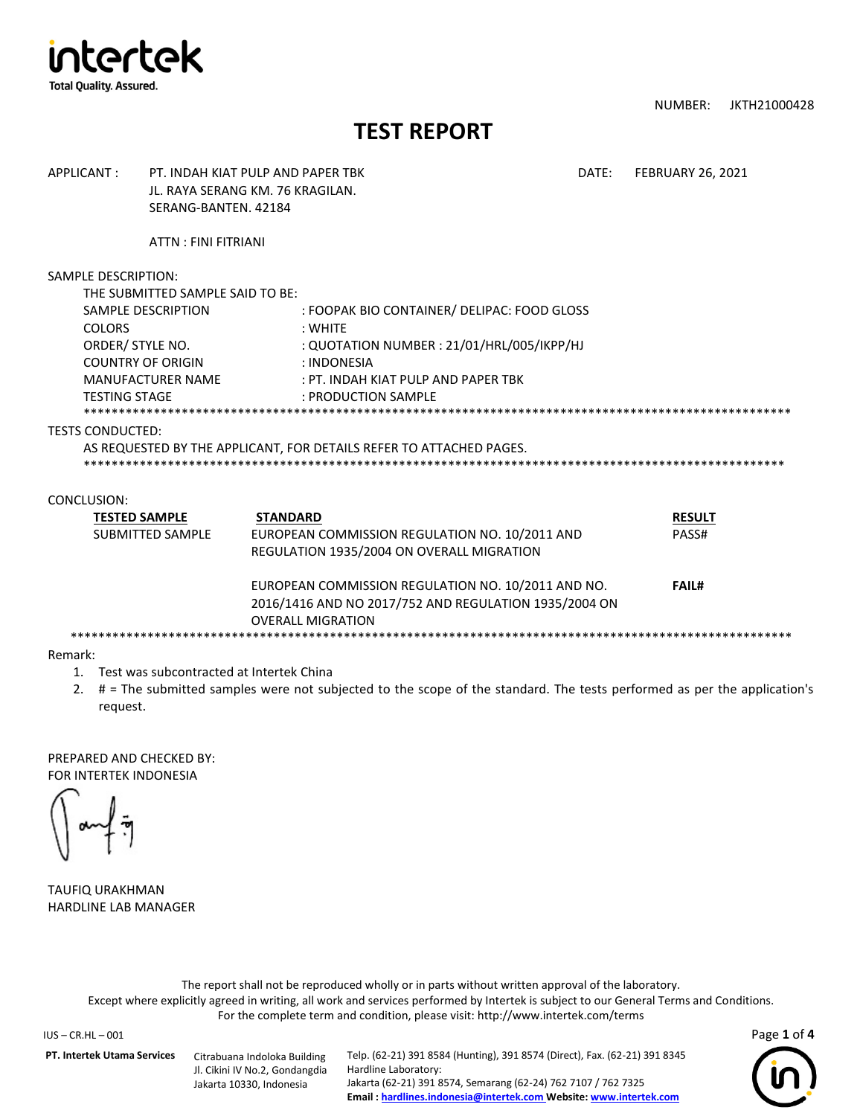

NUMBER: JKTH21000428

# **TEST REPORT**

| APPLICANT:                                                                                                          | SERANG-BANTEN, 42184                                                               | PT. INDAH KIAT PULP AND PAPER TRK<br>JL. RAYA SERANG KM. 76 KRAGILAN.                                                                                                             | DATE: | <b>FEBRUARY 26, 2021</b>               |
|---------------------------------------------------------------------------------------------------------------------|------------------------------------------------------------------------------------|-----------------------------------------------------------------------------------------------------------------------------------------------------------------------------------|-------|----------------------------------------|
|                                                                                                                     | ATTN: FINI FITRIANI                                                                |                                                                                                                                                                                   |       |                                        |
| <b>SAMPLE DESCRIPTION:</b><br><b>COLORS</b><br>ORDER/ STYLE NO.<br><b>COUNTRY OF ORIGIN</b><br><b>TESTING STAGE</b> | THE SUBMITTED SAMPLE SAID TO BE:<br>SAMPLE DESCRIPTION<br><b>MANUFACTURER NAME</b> | : FOOPAK BIO CONTAINER/ DELIPAC: FOOD GLOSS<br>: WHITF<br>: QUOTATION NUMBER : 21/01/HRL/005/IKPP/HJ<br>: INDONESIA<br>: PT. INDAH KIAT PULP AND PAPER TRK<br>: PRODUCTION SAMPLE |       |                                        |
| <b>TESTS CONDUCTED:</b>                                                                                             |                                                                                    | AS REQUESTED BY THE APPLICANT, FOR DETAILS REFER TO ATTACHED PAGES.                                                                                                               |       |                                        |
| CONCLUSION:<br><b>TESTED SAMPLE</b>                                                                                 | <b>SUBMITTED SAMPLE</b>                                                            | <b>STANDARD</b><br>EUROPEAN COMMISSION REGULATION NO. 10/2011 AND<br>REGULATION 1935/2004 ON OVERALL MIGRATION<br>EUROPEAN COMMISSION REGULATION NO. 10/2011 AND NO.              |       | <b>RESULT</b><br>PASS#<br><b>FAIL#</b> |
|                                                                                                                     |                                                                                    | 2016/1416 AND NO 2017/752 AND REGULATION 1935/2004 ON<br><b>OVERALL MIGRATION</b>                                                                                                 |       |                                        |

Remark:

- 1. Test was subcontracted at Intertek China
- 2. # = The submitted samples were not subjected to the scope of the standard. The tests performed as per the application's request.

PREPARED AND CHECKED BY: FOR INTERTEK INDONESIA

TAUFIQ URAKHMAN HARDLINE LAB MANAGER

The report shall not be reproduced wholly or in parts without written approval of the laboratory. Except where explicitly agreed in writing, all work and services performed by Intertek is subject to our General Terms and Conditions. For the complete term and condition, please visit: http://www.intertek.com/terms

IUS – CR.HL – 001 Page **1** of **4**

**PT. Intertek Utama Services** Citrabuana Indoloka Building

Jl. Cikini IV No.2, Gondangdia Jakarta 10330, Indonesia

Telp. (62-21) 391 8584 (Hunting), 391 8574 (Direct), Fax. (62-21) 391 8345 Hardline Laboratory: Jakarta (62-21) 391 8574, Semarang (62-24) 762 7107 / 762 7325 **Email [: hardlines.indonesia@intertek.com](mailto:hlcoordinator.indonesia@intertek.com) Website[: www.intertek.com](http://www.intertek.com/)**

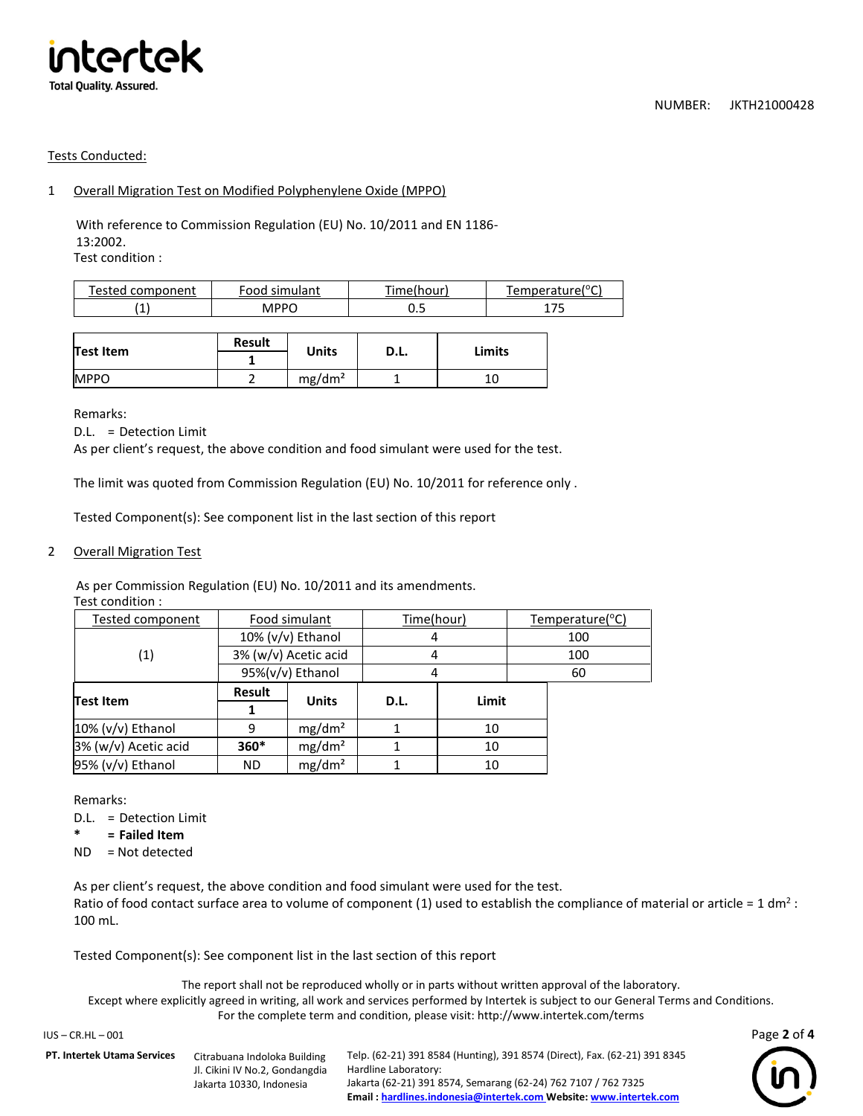

### Tests Conducted:

## 1 Overall Migration Test on Modified Polyphenylene Oxide (MPPO)

With reference to Commission Regulation (EU) No. 10/2011 and EN 1186- 13:2002. Test condition :

| mnanant<br>'esteo | ∶nnn<br>ılant<br>$\cdots$ | ™er.<br>nnun | "Temperature(°C |
|-------------------|---------------------------|--------------|-----------------|
| <b>A</b><br>. .   | <b>MPPC</b>               | ບ.ບ          | ∸<br>ٮ          |

|             | <b>Result</b> | <b>Units</b>       |      | Limits |
|-------------|---------------|--------------------|------|--------|
| Test Item   |               |                    | D.L. |        |
| <b>MPPO</b> |               | mg/dm <sup>2</sup> |      |        |

Remarks:

D.L. = Detection Limit

As per client's request, the above condition and food simulant were used for the test.

The limit was quoted from Commission Regulation (EU) No. 10/2011 for reference only .

Tested Component(s): See component list in the last section of this report

#### 2 Overall Migration Test

As per Commission Regulation (EU) No. 10/2011 and its amendments. Test condition :

| <b>Test Item</b>  |                      | <b>Units</b>     | D.L. | Limit      |     |           |  |
|-------------------|----------------------|------------------|------|------------|-----|-----------|--|
|                   | Result               |                  |      |            |     |           |  |
|                   |                      | 95%(v/v) Ethanol |      |            |     | 60        |  |
| $\left( 1\right)$ | 3% (w/v) Acetic acid |                  |      |            | 100 |           |  |
|                   | $10\%$ (v/v) Ethanol |                  |      |            | 100 |           |  |
| Tested component  | Food simulant        |                  |      | Time(hour) |     | Temperatı |  |
| Test condition .  |                      |                  |      |            |     |           |  |

**1**

10% (v/v) Ethanol | 9 | mg/dm<sup>2</sup> | 1 | 10 3% (w/v) Acetic acid **360\*** mg/dm² 1 10  $95\%$  (v/v) Ethanol | ND | mg/dm<sup>2</sup> | 1 | 10

Remarks:

- D.L. = Detection Limit
- **\* = Failed Item**
- ND = Not detected

As per client's request, the above condition and food simulant were used for the test. Ratio of food contact surface area to volume of component (1) used to establish the compliance of material or article = 1 dm<sup>2</sup> : 100 mL.

Time(hour) Temperature(°C)

Tested Component(s): See component list in the last section of this report

The report shall not be reproduced wholly or in parts without written approval of the laboratory. Except where explicitly agreed in writing, all work and services performed by Intertek is subject to our General Terms and Conditions. For the complete term and condition, please visit: http://www.intertek.com/terms

| IUS – CR.HL – 001                  |                                                                                            |                                                                                                                                                                                                                                           | Page 2 of 4    |
|------------------------------------|--------------------------------------------------------------------------------------------|-------------------------------------------------------------------------------------------------------------------------------------------------------------------------------------------------------------------------------------------|----------------|
| <b>PT. Intertek Utama Services</b> | Citrabuana Indoloka Building<br>Jl. Cikini IV No.2, Gondangdia<br>Jakarta 10330. Indonesia | Telp. (62-21) 391 8584 (Hunting), 391 8574 (Direct), Fax. (62-21) 391 8345<br>Hardline Laboratory:<br>Jakarta (62-21) 391 8574, Semarang (62-24) 762 7107 / 762 7325<br>Email: hardlines.indonesia@intertek.com Website: www.intertek.com | $\binom{1}{1}$ |

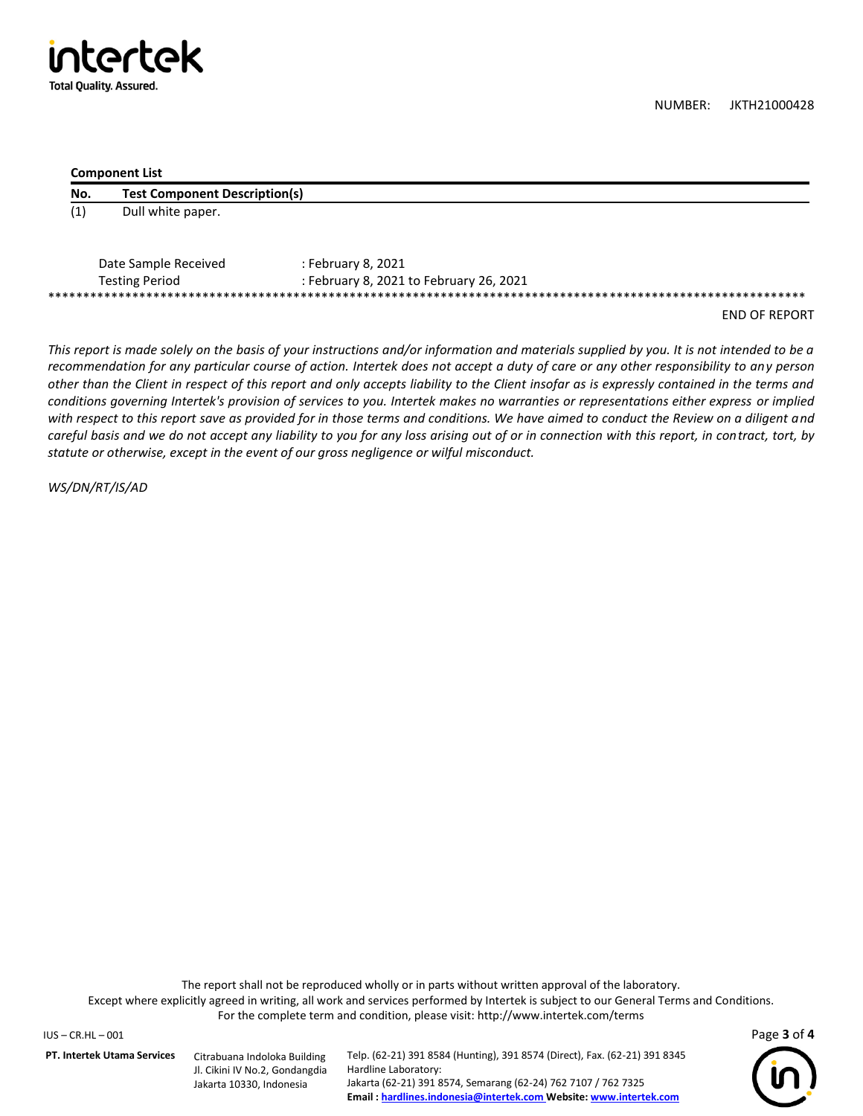

NUMBER: JKTH21000428

#### **Component List**

| No.               | <b>Test Component Description(s)</b> |                                         |
|-------------------|--------------------------------------|-----------------------------------------|
| $\left( 1\right)$ | Dull white paper.                    |                                         |
|                   | Date Sample Received                 | : February 8, 2021                      |
|                   | <b>Testing Period</b>                | : February 8, 2021 to February 26, 2021 |

END OF REPORT

*This report is made solely on the basis of your instructions and/or information and materials supplied by you. It is not intended to be a recommendation for any particular course of action. Intertek does not accept a duty of care or any other responsibility to any person other than the Client in respect of this report and only accepts liability to the Client insofar as is expressly contained in the terms and conditions governing Intertek's provision of services to you. Intertek makes no warranties or representations either express or implied*  with respect to this report save as provided for in those terms and conditions. We have aimed to conduct the Review on a diligent and *careful basis and we do not accept any liability to you for any loss arising out of or in connection with this report, in contract, tort, by statute or otherwise, except in the event of our gross negligence or wilful misconduct.*

*WS/DN/RT/IS/AD*

The report shall not be reproduced wholly or in parts without written approval of the laboratory. Except where explicitly agreed in writing, all work and services performed by Intertek is subject to our General Terms and Conditions. For the complete term and condition, please visit: http://www.intertek.com/terms

IUS – CR.HL – 001 Page **3** of **4**

**PT. Intertek Utama Services** Citrabuana Indoloka Building

Jl. Cikini IV No.2, Gondangdia Jakarta 10330, Indonesia

Telp. (62-21) 391 8584 (Hunting), 391 8574 (Direct), Fax. (62-21) 391 8345 Hardline Laboratory: Jakarta (62-21) 391 8574, Semarang (62-24) 762 7107 / 762 7325 **Email [: hardlines.indonesia@intertek.com](mailto:hlcoordinator.indonesia@intertek.com) Website[: www.intertek.com](http://www.intertek.com/)**